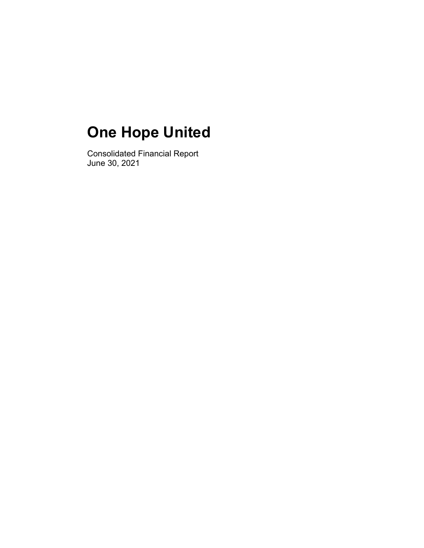Consolidated Financial Report June 30, 2021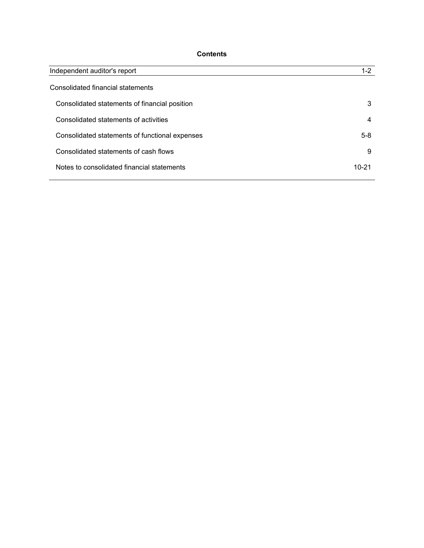### **Contents**

| Independent auditor's report                   | $1 - 2$ |
|------------------------------------------------|---------|
| Consolidated financial statements              |         |
| Consolidated statements of financial position  | 3       |
| Consolidated statements of activities          | 4       |
| Consolidated statements of functional expenses | $5-8$   |
| Consolidated statements of cash flows          | 9       |
| Notes to consolidated financial statements     | 10-21   |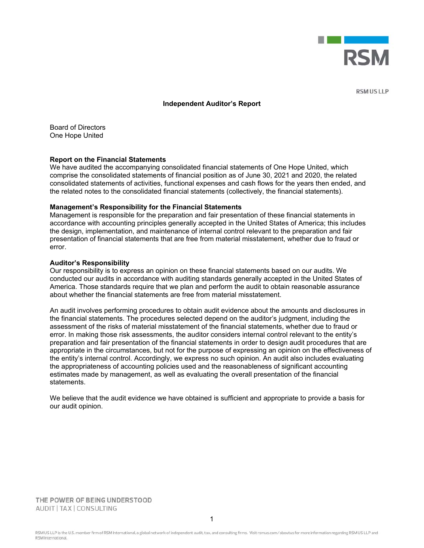

**RSM US LLP** 

#### **Independent Auditor's Report**

Board of Directors One Hope United

#### **Report on the Financial Statements**

We have audited the accompanying consolidated financial statements of One Hope United, which comprise the consolidated statements of financial position as of June 30, 2021 and 2020, the related consolidated statements of activities, functional expenses and cash flows for the years then ended, and the related notes to the consolidated financial statements (collectively, the financial statements).

#### **Management's Responsibility for the Financial Statements**

Management is responsible for the preparation and fair presentation of these financial statements in accordance with accounting principles generally accepted in the United States of America; this includes the design, implementation, and maintenance of internal control relevant to the preparation and fair presentation of financial statements that are free from material misstatement, whether due to fraud or error.

#### **Auditor's Responsibility**

Our responsibility is to express an opinion on these financial statements based on our audits. We conducted our audits in accordance with auditing standards generally accepted in the United States of America. Those standards require that we plan and perform the audit to obtain reasonable assurance about whether the financial statements are free from material misstatement.

An audit involves performing procedures to obtain audit evidence about the amounts and disclosures in the financial statements. The procedures selected depend on the auditor's judgment, including the assessment of the risks of material misstatement of the financial statements, whether due to fraud or error. In making those risk assessments, the auditor considers internal control relevant to the entity's preparation and fair presentation of the financial statements in order to design audit procedures that are appropriate in the circumstances, but not for the purpose of expressing an opinion on the effectiveness of the entity's internal control. Accordingly, we express no such opinion. An audit also includes evaluating the appropriateness of accounting policies used and the reasonableness of significant accounting estimates made by management, as well as evaluating the overall presentation of the financial statements.

We believe that the audit evidence we have obtained is sufficient and appropriate to provide a basis for our audit opinion.

THE POWER OF BEING UNDERSTOOD AUDIT | TAX | CONSULTING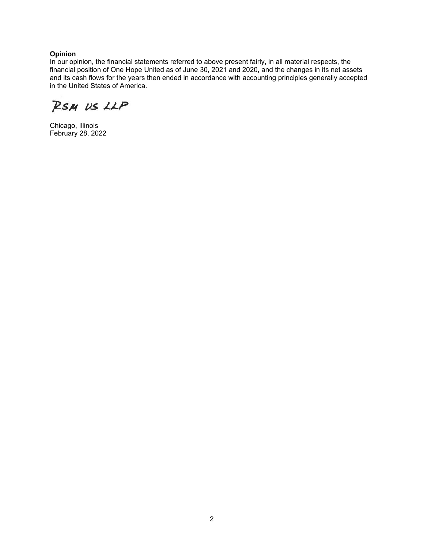### **Opinion**

In our opinion, the financial statements referred to above present fairly, in all material respects, the financial position of One Hope United as of June 30, 2021 and 2020, and the changes in its net assets and its cash flows for the years then ended in accordance with accounting principles generally accepted in the United States of America.

RSM US LLP

Chicago, Illinois February 28, 2022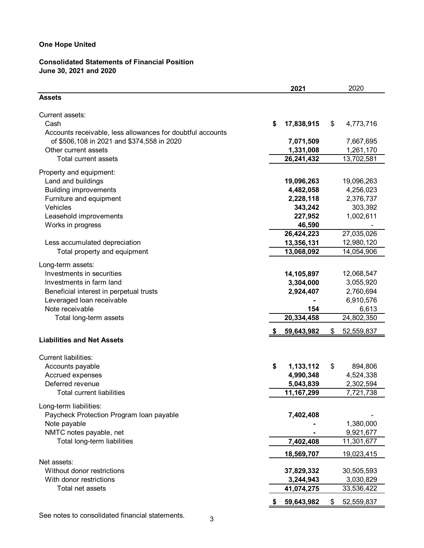### **Consolidated Statements of Financial Position June 30, 2021 and 2020**

|                                                            | 2021                    | 2020                    |
|------------------------------------------------------------|-------------------------|-------------------------|
| <b>Assets</b>                                              |                         |                         |
| Current assets:                                            |                         |                         |
| Cash                                                       | \$<br>17,838,915        | \$<br>4,773,716         |
| Accounts receivable, less allowances for doubtful accounts |                         |                         |
| of \$506,108 in 2021 and \$374,558 in 2020                 | 7,071,509               | 7,667,695               |
| Other current assets                                       | 1,331,008               | 1,261,170               |
| Total current assets                                       | 26,241,432              | 13,702,581              |
|                                                            |                         |                         |
| Property and equipment:<br>Land and buildings              | 19,096,263              | 19,096,263              |
| <b>Building improvements</b>                               | 4,482,058               | 4,256,023               |
| Furniture and equipment                                    | 2,228,118               | 2,376,737               |
| Vehicles                                                   | 343,242                 | 303,392                 |
| Leasehold improvements                                     | 227,952                 | 1,002,611               |
| Works in progress                                          | 46,590                  |                         |
|                                                            | 26,424,223              | 27,035,026              |
| Less accumulated depreciation                              | 13,356,131              | 12,980,120              |
| Total property and equipment                               | 13,068,092              | 14,054,906              |
|                                                            |                         |                         |
| Long-term assets:                                          |                         |                         |
| Investments in securities                                  | 14,105,897              | 12,068,547              |
| Investments in farm land                                   | 3,304,000               | 3,055,920               |
| Beneficial interest in perpetual trusts                    | 2,924,407               | 2,760,694               |
| Leveraged loan receivable                                  |                         | 6,910,576               |
| Note receivable                                            | 154                     | 6,613                   |
| Total long-term assets                                     | 20,334,458              | 24,802,350              |
|                                                            | 59,643,982              | \$<br>52,559,837        |
| <b>Liabilities and Net Assets</b>                          |                         |                         |
| <b>Current liabilities:</b>                                |                         |                         |
| Accounts payable                                           | \$<br>1,133,112         | \$<br>894,806           |
| Accrued expenses                                           | 4,990,348               | 4,524,338               |
| Deferred revenue                                           | 5,043,839               | 2,302,594               |
| <b>Total current liabilities</b>                           | 11,167,299              | 7,721,738               |
| Long-term liabilities:                                     |                         |                         |
| Paycheck Protection Program Ioan payable                   | 7,402,408               |                         |
| Note payable                                               |                         | 1,380,000               |
| NMTC notes payable, net                                    |                         | 9,921,677               |
| Total long-term liabilities                                | 7,402,408               | 11,301,677              |
|                                                            |                         |                         |
|                                                            | 18,569,707              | 19,023,415              |
| Net assets:<br>Without donor restrictions                  |                         |                         |
| With donor restrictions                                    | 37,829,332              | 30,505,593              |
| Total net assets                                           | 3,244,943<br>41,074,275 | 3,030,829<br>33,536,422 |
|                                                            |                         |                         |
|                                                            | 59,643,982              | 52,559,837              |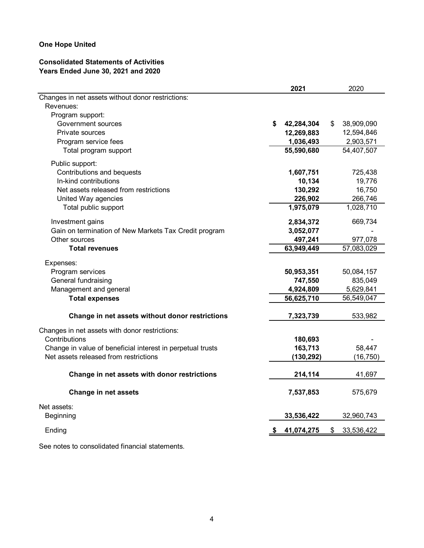### **Consolidated Statements of Activities Years Ended June 30, 2021 and 2020**

| Revenues:<br>Program support:<br>Government sources<br>\$<br>42,284,304<br>38,909,090<br>\$<br>12,269,883<br>Private sources<br>12,594,846<br>Program service fees<br>1,036,493<br>2,903,571<br>54,407,507<br>55,590,680<br>Total program support<br>Public support:<br>Contributions and bequests<br>1,607,751<br>725,438<br>In-kind contributions<br>10,134<br>19,776<br>Net assets released from restrictions<br>16,750<br>130,292<br>226,902<br>266,746<br>United Way agencies<br>Total public support<br>1,975,079<br>1,028,710<br>Investment gains<br>2,834,372<br>669,734<br>Gain on termination of New Markets Tax Credit program<br>3,052,077<br>Other sources<br>497,241<br>977,078<br>63,949,449<br>57,083,029<br><b>Total revenues</b><br>Expenses:<br>Program services<br>50,953,351<br>50,084,157<br>General fundraising<br>747,550<br>835,049<br>Management and general<br>4,924,809<br>5,629,841<br><b>Total expenses</b><br>56,625,710<br>56,549,047<br>Change in net assets without donor restrictions<br>533,982<br>7,323,739<br>Changes in net assets with donor restrictions:<br>Contributions<br>180,693<br>Change in value of beneficial interest in perpetual trusts<br>163,713<br>58,447<br>Net assets released from restrictions<br>(130, 292)<br>(16, 750)<br>Change in net assets with donor restrictions<br>214,114<br>41,697<br><b>Change in net assets</b><br>7,537,853<br>575,679<br>33,536,422<br>Beginning<br>32,960,743<br>Ending<br>41,074,275<br>33,536,422<br>\$. |                                                   | 2021 | 2020 |
|---------------------------------------------------------------------------------------------------------------------------------------------------------------------------------------------------------------------------------------------------------------------------------------------------------------------------------------------------------------------------------------------------------------------------------------------------------------------------------------------------------------------------------------------------------------------------------------------------------------------------------------------------------------------------------------------------------------------------------------------------------------------------------------------------------------------------------------------------------------------------------------------------------------------------------------------------------------------------------------------------------------------------------------------------------------------------------------------------------------------------------------------------------------------------------------------------------------------------------------------------------------------------------------------------------------------------------------------------------------------------------------------------------------------------------------------------------------------------------------------------------|---------------------------------------------------|------|------|
|                                                                                                                                                                                                                                                                                                                                                                                                                                                                                                                                                                                                                                                                                                                                                                                                                                                                                                                                                                                                                                                                                                                                                                                                                                                                                                                                                                                                                                                                                                         | Changes in net assets without donor restrictions: |      |      |
|                                                                                                                                                                                                                                                                                                                                                                                                                                                                                                                                                                                                                                                                                                                                                                                                                                                                                                                                                                                                                                                                                                                                                                                                                                                                                                                                                                                                                                                                                                         |                                                   |      |      |
|                                                                                                                                                                                                                                                                                                                                                                                                                                                                                                                                                                                                                                                                                                                                                                                                                                                                                                                                                                                                                                                                                                                                                                                                                                                                                                                                                                                                                                                                                                         |                                                   |      |      |
|                                                                                                                                                                                                                                                                                                                                                                                                                                                                                                                                                                                                                                                                                                                                                                                                                                                                                                                                                                                                                                                                                                                                                                                                                                                                                                                                                                                                                                                                                                         |                                                   |      |      |
|                                                                                                                                                                                                                                                                                                                                                                                                                                                                                                                                                                                                                                                                                                                                                                                                                                                                                                                                                                                                                                                                                                                                                                                                                                                                                                                                                                                                                                                                                                         |                                                   |      |      |
|                                                                                                                                                                                                                                                                                                                                                                                                                                                                                                                                                                                                                                                                                                                                                                                                                                                                                                                                                                                                                                                                                                                                                                                                                                                                                                                                                                                                                                                                                                         |                                                   |      |      |
|                                                                                                                                                                                                                                                                                                                                                                                                                                                                                                                                                                                                                                                                                                                                                                                                                                                                                                                                                                                                                                                                                                                                                                                                                                                                                                                                                                                                                                                                                                         |                                                   |      |      |
|                                                                                                                                                                                                                                                                                                                                                                                                                                                                                                                                                                                                                                                                                                                                                                                                                                                                                                                                                                                                                                                                                                                                                                                                                                                                                                                                                                                                                                                                                                         |                                                   |      |      |
|                                                                                                                                                                                                                                                                                                                                                                                                                                                                                                                                                                                                                                                                                                                                                                                                                                                                                                                                                                                                                                                                                                                                                                                                                                                                                                                                                                                                                                                                                                         |                                                   |      |      |
|                                                                                                                                                                                                                                                                                                                                                                                                                                                                                                                                                                                                                                                                                                                                                                                                                                                                                                                                                                                                                                                                                                                                                                                                                                                                                                                                                                                                                                                                                                         |                                                   |      |      |
|                                                                                                                                                                                                                                                                                                                                                                                                                                                                                                                                                                                                                                                                                                                                                                                                                                                                                                                                                                                                                                                                                                                                                                                                                                                                                                                                                                                                                                                                                                         |                                                   |      |      |
|                                                                                                                                                                                                                                                                                                                                                                                                                                                                                                                                                                                                                                                                                                                                                                                                                                                                                                                                                                                                                                                                                                                                                                                                                                                                                                                                                                                                                                                                                                         |                                                   |      |      |
|                                                                                                                                                                                                                                                                                                                                                                                                                                                                                                                                                                                                                                                                                                                                                                                                                                                                                                                                                                                                                                                                                                                                                                                                                                                                                                                                                                                                                                                                                                         |                                                   |      |      |
|                                                                                                                                                                                                                                                                                                                                                                                                                                                                                                                                                                                                                                                                                                                                                                                                                                                                                                                                                                                                                                                                                                                                                                                                                                                                                                                                                                                                                                                                                                         |                                                   |      |      |
|                                                                                                                                                                                                                                                                                                                                                                                                                                                                                                                                                                                                                                                                                                                                                                                                                                                                                                                                                                                                                                                                                                                                                                                                                                                                                                                                                                                                                                                                                                         |                                                   |      |      |
|                                                                                                                                                                                                                                                                                                                                                                                                                                                                                                                                                                                                                                                                                                                                                                                                                                                                                                                                                                                                                                                                                                                                                                                                                                                                                                                                                                                                                                                                                                         |                                                   |      |      |
|                                                                                                                                                                                                                                                                                                                                                                                                                                                                                                                                                                                                                                                                                                                                                                                                                                                                                                                                                                                                                                                                                                                                                                                                                                                                                                                                                                                                                                                                                                         |                                                   |      |      |
|                                                                                                                                                                                                                                                                                                                                                                                                                                                                                                                                                                                                                                                                                                                                                                                                                                                                                                                                                                                                                                                                                                                                                                                                                                                                                                                                                                                                                                                                                                         |                                                   |      |      |
|                                                                                                                                                                                                                                                                                                                                                                                                                                                                                                                                                                                                                                                                                                                                                                                                                                                                                                                                                                                                                                                                                                                                                                                                                                                                                                                                                                                                                                                                                                         |                                                   |      |      |
|                                                                                                                                                                                                                                                                                                                                                                                                                                                                                                                                                                                                                                                                                                                                                                                                                                                                                                                                                                                                                                                                                                                                                                                                                                                                                                                                                                                                                                                                                                         |                                                   |      |      |
|                                                                                                                                                                                                                                                                                                                                                                                                                                                                                                                                                                                                                                                                                                                                                                                                                                                                                                                                                                                                                                                                                                                                                                                                                                                                                                                                                                                                                                                                                                         |                                                   |      |      |
|                                                                                                                                                                                                                                                                                                                                                                                                                                                                                                                                                                                                                                                                                                                                                                                                                                                                                                                                                                                                                                                                                                                                                                                                                                                                                                                                                                                                                                                                                                         |                                                   |      |      |
|                                                                                                                                                                                                                                                                                                                                                                                                                                                                                                                                                                                                                                                                                                                                                                                                                                                                                                                                                                                                                                                                                                                                                                                                                                                                                                                                                                                                                                                                                                         |                                                   |      |      |
|                                                                                                                                                                                                                                                                                                                                                                                                                                                                                                                                                                                                                                                                                                                                                                                                                                                                                                                                                                                                                                                                                                                                                                                                                                                                                                                                                                                                                                                                                                         |                                                   |      |      |
|                                                                                                                                                                                                                                                                                                                                                                                                                                                                                                                                                                                                                                                                                                                                                                                                                                                                                                                                                                                                                                                                                                                                                                                                                                                                                                                                                                                                                                                                                                         |                                                   |      |      |
|                                                                                                                                                                                                                                                                                                                                                                                                                                                                                                                                                                                                                                                                                                                                                                                                                                                                                                                                                                                                                                                                                                                                                                                                                                                                                                                                                                                                                                                                                                         |                                                   |      |      |
|                                                                                                                                                                                                                                                                                                                                                                                                                                                                                                                                                                                                                                                                                                                                                                                                                                                                                                                                                                                                                                                                                                                                                                                                                                                                                                                                                                                                                                                                                                         | Net assets:                                       |      |      |
|                                                                                                                                                                                                                                                                                                                                                                                                                                                                                                                                                                                                                                                                                                                                                                                                                                                                                                                                                                                                                                                                                                                                                                                                                                                                                                                                                                                                                                                                                                         |                                                   |      |      |
|                                                                                                                                                                                                                                                                                                                                                                                                                                                                                                                                                                                                                                                                                                                                                                                                                                                                                                                                                                                                                                                                                                                                                                                                                                                                                                                                                                                                                                                                                                         |                                                   |      |      |

See notes to consolidated financial statements.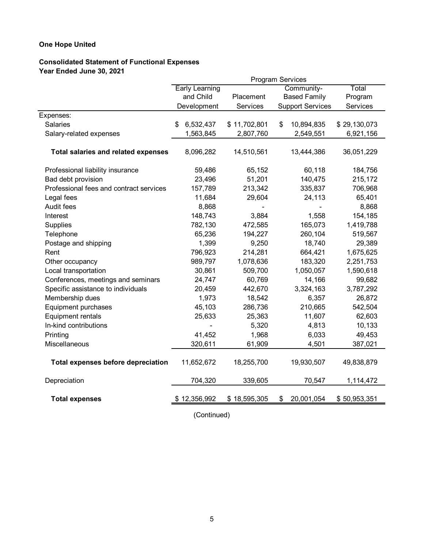### **Consolidated Statement of Functional Expenses Year Ended June 30, 2021**

|                                            | <b>Program Services</b> |              |                         |              |  |  |
|--------------------------------------------|-------------------------|--------------|-------------------------|--------------|--|--|
|                                            | <b>Early Learning</b>   |              | Community-              | Total        |  |  |
|                                            | and Child               | Placement    | <b>Based Family</b>     | Program      |  |  |
|                                            | Development             | Services     | <b>Support Services</b> | Services     |  |  |
| Expenses:                                  |                         |              |                         |              |  |  |
| Salaries                                   | \$<br>6,532,437         | \$11,702,801 | \$<br>10,894,835        | \$29,130,073 |  |  |
| Salary-related expenses                    | 1,563,845               | 2,807,760    | 2,549,551               | 6,921,156    |  |  |
| <b>Total salaries and related expenses</b> | 8,096,282               | 14,510,561   | 13,444,386              | 36,051,229   |  |  |
| Professional liability insurance           | 59,486                  | 65,152       | 60,118                  | 184,756      |  |  |
| Bad debt provision                         | 23,496                  | 51,201       | 140,475                 | 215,172      |  |  |
| Professional fees and contract services    | 157,789                 | 213,342      | 335,837                 | 706,968      |  |  |
| Legal fees                                 | 11,684                  | 29,604       | 24,113                  | 65,401       |  |  |
| Audit fees                                 | 8,868                   |              |                         | 8,868        |  |  |
| Interest                                   | 148,743                 | 3,884        | 1,558                   | 154,185      |  |  |
| Supplies                                   | 782,130                 | 472,585      | 165,073                 | 1,419,788    |  |  |
| Telephone                                  | 65,236                  | 194,227      | 260,104                 | 519,567      |  |  |
| Postage and shipping                       | 1,399                   | 9,250        | 18,740                  | 29,389       |  |  |
| Rent                                       | 796,923                 | 214,281      | 664,421                 | 1,675,625    |  |  |
| Other occupancy                            | 989,797                 | 1,078,636    | 183,320                 | 2,251,753    |  |  |
| Local transportation                       | 30,861                  | 509,700      | 1,050,057               | 1,590,618    |  |  |
| Conferences, meetings and seminars         | 24,747                  | 60,769       | 14,166                  | 99,682       |  |  |
| Specific assistance to individuals         | 20,459                  | 442,670      | 3,324,163               | 3,787,292    |  |  |
| Membership dues                            | 1,973                   | 18,542       | 6,357                   | 26,872       |  |  |
| Equipment purchases                        | 45,103                  | 286,736      | 210,665                 | 542,504      |  |  |
| <b>Equipment rentals</b>                   | 25,633                  | 25,363       | 11,607                  | 62,603       |  |  |
| In-kind contributions                      | $\blacksquare$          | 5,320        | 4,813                   | 10,133       |  |  |
| Printing                                   | 41,452                  | 1,968        | 6,033                   | 49,453       |  |  |
| Miscellaneous                              | 320,611                 | 61,909       | 4,501                   | 387,021      |  |  |
| <b>Total expenses before depreciation</b>  | 11,652,672              | 18,255,700   | 19,930,507              | 49,838,879   |  |  |
| Depreciation                               | 704,320                 | 339,605      | 70,547                  | 1,114,472    |  |  |
| <b>Total expenses</b>                      | \$12,356,992            | \$18,595,305 | \$<br>20,001,054        | \$50,953,351 |  |  |

(Continued)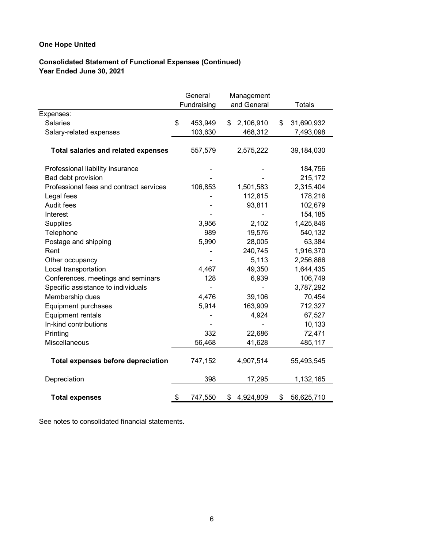### **Consolidated Statement of Functional Expenses (Continued) Year Ended June 30, 2021**

|                                                           | General |                | Management |                     |    |                         |
|-----------------------------------------------------------|---------|----------------|------------|---------------------|----|-------------------------|
|                                                           |         | Fundraising    |            | and General         |    | <b>Totals</b>           |
| Expenses:                                                 |         |                |            |                     |    |                         |
| <b>Salaries</b>                                           | \$      | 453,949        | \$         | 2,106,910           | \$ | 31,690,932              |
| Salary-related expenses                                   |         | 103,630        |            | 468,312             |    | 7,493,098               |
| <b>Total salaries and related expenses</b>                |         | 557,579        |            | 2,575,222           |    | 39,184,030              |
| Professional liability insurance                          |         |                |            |                     |    | 184,756                 |
| Bad debt provision                                        |         |                |            |                     |    | 215,172                 |
| Professional fees and contract services                   |         | 106,853        |            | 1,501,583           |    | 2,315,404               |
| Legal fees                                                |         |                |            | 112,815             |    | 178,216                 |
| Audit fees                                                |         |                |            | 93,811              |    | 102,679                 |
| Interest                                                  |         |                |            |                     |    | 154,185                 |
| Supplies                                                  |         | 3,956          |            | 2,102               |    | 1,425,846               |
| Telephone                                                 |         | 989            |            | 19,576              |    | 540,132                 |
| Postage and shipping                                      |         | 5,990          |            | 28,005              |    | 63,384                  |
| Rent                                                      |         |                |            | 240,745             |    | 1,916,370               |
| Other occupancy                                           |         |                |            | 5,113               |    | 2,256,866               |
| Local transportation                                      |         | 4,467          |            | 49,350              |    | 1,644,435               |
| Conferences, meetings and seminars                        |         | 128            |            | 6,939               |    | 106,749                 |
| Specific assistance to individuals                        |         |                |            |                     |    | 3,787,292               |
| Membership dues                                           |         | 4,476          |            | 39,106              |    | 70,454                  |
| Equipment purchases                                       |         | 5,914          |            | 163,909             |    | 712,327                 |
| <b>Equipment rentals</b>                                  |         |                |            | 4,924               |    | 67,527                  |
| In-kind contributions                                     |         |                |            |                     |    | 10,133                  |
| Printing                                                  |         | 332            |            | 22,686              |    | 72,471                  |
| Miscellaneous                                             |         | 56,468         |            | 41,628              |    | 485,117                 |
| <b>Total expenses before depreciation</b><br>Depreciation |         | 747,152<br>398 |            | 4,907,514<br>17,295 |    | 55,493,545<br>1,132,165 |
|                                                           |         |                |            |                     |    |                         |
| <b>Total expenses</b>                                     | \$      | 747,550        | \$         | 4,924,809           | \$ | 56,625,710              |

See notes to consolidated financial statements.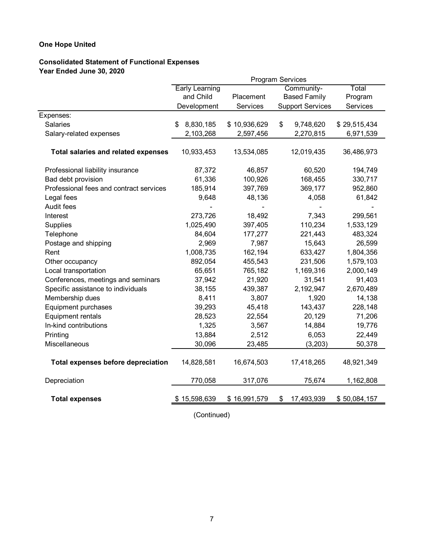### **Consolidated Statement of Functional Expenses Year Ended June 30, 2020**

|                                            | <b>Program Services</b> |              |                         |              |  |  |  |
|--------------------------------------------|-------------------------|--------------|-------------------------|--------------|--|--|--|
|                                            | <b>Early Learning</b>   |              | Community-              | Total        |  |  |  |
|                                            | and Child               | Placement    | <b>Based Family</b>     | Program      |  |  |  |
|                                            | Development             | Services     | <b>Support Services</b> | Services     |  |  |  |
| Expenses:                                  |                         |              |                         |              |  |  |  |
| Salaries                                   | 8,830,185<br>\$         | \$10,936,629 | \$<br>9,748,620         | \$29,515,434 |  |  |  |
| Salary-related expenses                    | 2,103,268               | 2,597,456    | 2,270,815               | 6,971,539    |  |  |  |
| <b>Total salaries and related expenses</b> | 10,933,453              | 13,534,085   | 12,019,435              | 36,486,973   |  |  |  |
| Professional liability insurance           | 87,372                  | 46,857       | 60,520                  | 194,749      |  |  |  |
| Bad debt provision                         | 61,336                  | 100,926      | 168,455                 | 330,717      |  |  |  |
| Professional fees and contract services    | 185,914                 | 397,769      | 369,177                 | 952,860      |  |  |  |
| Legal fees                                 | 9,648                   | 48,136       | 4,058                   | 61,842       |  |  |  |
| Audit fees                                 |                         |              |                         |              |  |  |  |
| Interest                                   | 273,726                 | 18,492       | 7,343                   | 299,561      |  |  |  |
| Supplies                                   | 1,025,490               | 397,405      | 110,234                 | 1,533,129    |  |  |  |
| Telephone                                  | 84,604                  | 177,277      | 221,443                 | 483,324      |  |  |  |
| Postage and shipping                       | 2,969                   | 7,987        | 15,643                  | 26,599       |  |  |  |
| Rent                                       | 1,008,735               | 162,194      | 633,427                 | 1,804,356    |  |  |  |
| Other occupancy                            | 892,054                 | 455,543      | 231,506                 | 1,579,103    |  |  |  |
| Local transportation                       | 65,651                  | 765,182      | 1,169,316               | 2,000,149    |  |  |  |
| Conferences, meetings and seminars         | 37,942                  | 21,920       | 31,541                  | 91,403       |  |  |  |
| Specific assistance to individuals         | 38,155                  | 439,387      | 2,192,947               | 2,670,489    |  |  |  |
| Membership dues                            | 8,411                   | 3,807        | 1,920                   | 14,138       |  |  |  |
| <b>Equipment purchases</b>                 | 39,293                  | 45,418       | 143,437                 | 228,148      |  |  |  |
| Equipment rentals                          | 28,523                  | 22,554       | 20,129                  | 71,206       |  |  |  |
| In-kind contributions                      | 1,325                   | 3,567        | 14,884                  | 19,776       |  |  |  |
| Printing                                   | 13,884                  | 2,512        | 6,053                   | 22,449       |  |  |  |
| Miscellaneous                              | 30,096                  | 23,485       | (3, 203)                | 50,378       |  |  |  |
| <b>Total expenses before depreciation</b>  | 14,828,581              | 16,674,503   | 17,418,265              | 48,921,349   |  |  |  |
| Depreciation                               | 770,058                 | 317,076      | 75,674                  | 1,162,808    |  |  |  |
| <b>Total expenses</b>                      | \$15,598,639            | \$16,991,579 | \$<br>17,493,939        | \$50,084,157 |  |  |  |

(Continued)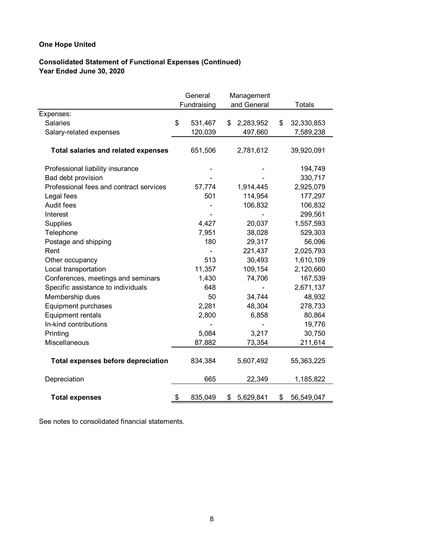### **Consolidated Statement of Functional Expenses (Continued) Year Ended June 30, 2020**

|                                                           | General |                | Management |                     |    |                         |
|-----------------------------------------------------------|---------|----------------|------------|---------------------|----|-------------------------|
|                                                           |         | Fundraising    |            | and General         |    | <b>Totals</b>           |
| Expenses:                                                 |         |                |            |                     |    |                         |
| <b>Salaries</b>                                           | \$      | 531,467        | \$         | 2,283,952           | \$ | 32,330,853              |
| Salary-related expenses                                   |         | 120,039        |            | 497,660             |    | 7,589,238               |
| <b>Total salaries and related expenses</b>                |         | 651,506        |            | 2,781,612           |    | 39,920,091              |
| Professional liability insurance                          |         |                |            |                     |    | 194,749                 |
| Bad debt provision                                        |         |                |            |                     |    | 330,717                 |
| Professional fees and contract services                   |         | 57,774         |            | 1,914,445           |    | 2,925,079               |
| Legal fees                                                |         | 501            |            | 114,954             |    | 177,297                 |
| Audit fees                                                |         |                |            | 106,832             |    | 106,832                 |
| Interest                                                  |         |                |            |                     |    | 299,561                 |
| Supplies                                                  |         | 4,427          |            | 20,037              |    | 1,557,593               |
| Telephone                                                 |         | 7,951          |            | 38,028              |    | 529,303                 |
| Postage and shipping                                      |         | 180            |            | 29,317              |    | 56,096                  |
| Rent                                                      |         |                |            | 221,437             |    | 2,025,793               |
| Other occupancy                                           |         | 513            |            | 30,493              |    | 1,610,109               |
| Local transportation                                      |         | 11,357         |            | 109,154             |    | 2,120,660               |
| Conferences, meetings and seminars                        |         | 1,430          |            | 74,706              |    | 167,539                 |
| Specific assistance to individuals                        |         | 648            |            |                     |    | 2,671,137               |
| Membership dues                                           |         | 50             |            | 34,744              |    | 48,932                  |
| Equipment purchases                                       |         | 2,281          |            | 48,304              |    | 278,733                 |
| <b>Equipment rentals</b>                                  |         | 2,800          |            | 6,858               |    | 80,864                  |
| In-kind contributions                                     |         |                |            |                     |    | 19,776                  |
| Printing                                                  |         | 5,084          |            | 3,217               |    | 30,750                  |
| Miscellaneous                                             |         | 87,882         |            | 73,354              |    | 211,614                 |
| <b>Total expenses before depreciation</b><br>Depreciation |         | 834,384<br>665 |            | 5,607,492<br>22,349 |    | 55,363,225<br>1,185,822 |
|                                                           |         |                |            |                     |    |                         |
| <b>Total expenses</b>                                     | \$      | 835,049        | \$         | 5,629,841           | \$ | 56,549,047              |

See notes to consolidated financial statements.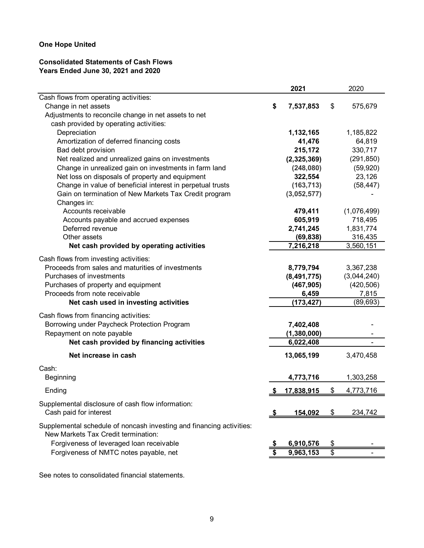### **Consolidated Statements of Cash Flows Years Ended June 30, 2021 and 2020**

|                                                                      | 2021             |                          | 2020        |
|----------------------------------------------------------------------|------------------|--------------------------|-------------|
| Cash flows from operating activities:                                |                  |                          |             |
| Change in net assets                                                 | \$<br>7,537,853  | \$                       | 575,679     |
| Adjustments to reconcile change in net assets to net                 |                  |                          |             |
| cash provided by operating activities:                               |                  |                          |             |
| Depreciation                                                         | 1,132,165        |                          | 1,185,822   |
| Amortization of deferred financing costs                             | 41,476           |                          | 64,819      |
| Bad debt provision                                                   | 215,172          |                          | 330,717     |
| Net realized and unrealized gains on investments                     | (2,325,369)      |                          | (291, 850)  |
| Change in unrealized gain on investments in farm land                | (248,080)        |                          | (59, 920)   |
| Net loss on disposals of property and equipment                      | 322,554          |                          | 23,126      |
| Change in value of beneficial interest in perpetual trusts           | (163, 713)       |                          | (58, 447)   |
| Gain on termination of New Markets Tax Credit program                | (3,052,577)      |                          |             |
| Changes in:                                                          |                  |                          |             |
| Accounts receivable                                                  | 479,411          |                          | (1,076,499) |
| Accounts payable and accrued expenses                                | 605,919          |                          | 718,495     |
| Deferred revenue                                                     | 2,741,245        |                          | 1,831,774   |
| Other assets                                                         | (69, 838)        |                          | 316,435     |
| Net cash provided by operating activities                            | 7,216,218        |                          | 3,560,151   |
| Cash flows from investing activities:                                |                  |                          |             |
| Proceeds from sales and maturities of investments                    | 8,779,794        |                          | 3,367,238   |
| Purchases of investments                                             | (8,491,775)      |                          | (3,044,240) |
| Purchases of property and equipment                                  | (467, 905)       |                          | (420, 506)  |
| Proceeds from note receivable                                        | 6,459            |                          | 7,815       |
| Net cash used in investing activities                                | (173, 427)       |                          | (89, 693)   |
|                                                                      |                  |                          |             |
| Cash flows from financing activities:                                |                  |                          |             |
| Borrowing under Paycheck Protection Program                          | 7,402,408        |                          |             |
| Repayment on note payable                                            | (1,380,000)      |                          |             |
| Net cash provided by financing activities                            | 6,022,408        |                          |             |
| Net increase in cash                                                 | 13,065,199       |                          | 3,470,458   |
| Cash:                                                                |                  |                          |             |
| Beginning                                                            | 4,773,716        |                          | 1,303,258   |
| Ending                                                               | \$<br>17,838,915 | \$                       | 4,773,716   |
| Supplemental disclosure of cash flow information:                    |                  |                          |             |
| Cash paid for interest                                               | \$<br>154,092    | \$                       | 234,742     |
| Supplemental schedule of noncash investing and financing activities: |                  |                          |             |
| New Markets Tax Credit termination:                                  |                  |                          |             |
| Forgiveness of leveraged loan receivable                             | 6,910,576        | \$                       |             |
| Forgiveness of NMTC notes payable, net                               | 9,963,153        | $\overline{\mathcal{G}}$ |             |
|                                                                      |                  |                          |             |

See notes to consolidated financial statements.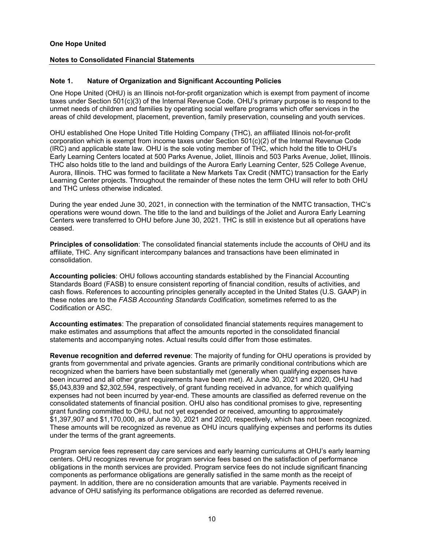### **Notes to Consolidated Financial Statements**

### **Note 1. Nature of Organization and Significant Accounting Policies**

One Hope United (OHU) is an Illinois not-for-profit organization which is exempt from payment of income taxes under Section 501(c)(3) of the Internal Revenue Code. OHU's primary purpose is to respond to the unmet needs of children and families by operating social welfare programs which offer services in the areas of child development, placement, prevention, family preservation, counseling and youth services.

OHU established One Hope United Title Holding Company (THC), an affiliated Illinois not-for-profit corporation which is exempt from income taxes under Section 501(c)(2) of the Internal Revenue Code (IRC) and applicable state law. OHU is the sole voting member of THC, which hold the title to OHU's Early Learning Centers located at 500 Parks Avenue, Joliet, Illinois and 503 Parks Avenue, Joliet, Illinois. THC also holds title to the land and buildings of the Aurora Early Learning Center, 525 College Avenue, Aurora, Illinois. THC was formed to facilitate a New Markets Tax Credit (NMTC) transaction for the Early Learning Center projects. Throughout the remainder of these notes the term OHU will refer to both OHU and THC unless otherwise indicated.

During the year ended June 30, 2021, in connection with the termination of the NMTC transaction, THC's operations were wound down. The title to the land and buildings of the Joliet and Aurora Early Learning Centers were transferred to OHU before June 30, 2021. THC is still in existence but all operations have ceased.

**Principles of consolidation**: The consolidated financial statements include the accounts of OHU and its affiliate, THC. Any significant intercompany balances and transactions have been eliminated in consolidation.

**Accounting policies**: OHU follows accounting standards established by the Financial Accounting Standards Board (FASB) to ensure consistent reporting of financial condition, results of activities, and cash flows. References to accounting principles generally accepted in the United States (U.S. GAAP) in these notes are to the *FASB Accounting Standards Codification,* sometimes referred to as the Codification or ASC.

**Accounting estimates**: The preparation of consolidated financial statements requires management to make estimates and assumptions that affect the amounts reported in the consolidated financial statements and accompanying notes. Actual results could differ from those estimates.

**Revenue recognition and deferred revenue**: The majority of funding for OHU operations is provided by grants from governmental and private agencies. Grants are primarily conditional contributions which are recognized when the barriers have been substantially met (generally when qualifying expenses have been incurred and all other grant requirements have been met). At June 30, 2021 and 2020, OHU had \$5,043,839 and \$2,302,594, respectively, of grant funding received in advance, for which qualifying expenses had not been incurred by year-end. These amounts are classified as deferred revenue on the consolidated statements of financial position. OHU also has conditional promises to give, representing grant funding committed to OHU, but not yet expended or received, amounting to approximately \$1,397,907 and \$1,170,000, as of June 30, 2021 and 2020, respectively, which has not been recognized. These amounts will be recognized as revenue as OHU incurs qualifying expenses and performs its duties under the terms of the grant agreements.

Program service fees represent day care services and early learning curriculums at OHU's early learning centers. OHU recognizes revenue for program service fees based on the satisfaction of performance obligations in the month services are provided. Program service fees do not include significant financing components as performance obligations are generally satisfied in the same month as the receipt of payment. In addition, there are no consideration amounts that are variable. Payments received in advance of OHU satisfying its performance obligations are recorded as deferred revenue.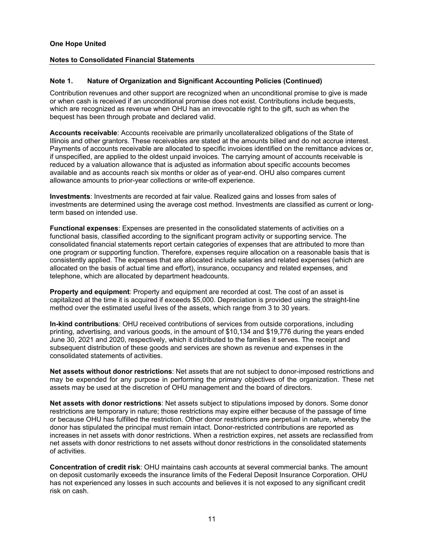### **Notes to Consolidated Financial Statements**

### **Note 1. Nature of Organization and Significant Accounting Policies (Continued)**

Contribution revenues and other support are recognized when an unconditional promise to give is made or when cash is received if an unconditional promise does not exist. Contributions include bequests, which are recognized as revenue when OHU has an irrevocable right to the gift, such as when the bequest has been through probate and declared valid.

**Accounts receivable**: Accounts receivable are primarily uncollateralized obligations of the State of Illinois and other grantors. These receivables are stated at the amounts billed and do not accrue interest. Payments of accounts receivable are allocated to specific invoices identified on the remittance advices or, if unspecified, are applied to the oldest unpaid invoices. The carrying amount of accounts receivable is reduced by a valuation allowance that is adjusted as information about specific accounts becomes available and as accounts reach six months or older as of year-end. OHU also compares current allowance amounts to prior-year collections or write-off experience.

**Investments**: Investments are recorded at fair value. Realized gains and losses from sales of investments are determined using the average cost method. Investments are classified as current or longterm based on intended use.

**Functional expenses**: Expenses are presented in the consolidated statements of activities on a functional basis, classified according to the significant program activity or supporting service. The consolidated financial statements report certain categories of expenses that are attributed to more than one program or supporting function. Therefore, expenses require allocation on a reasonable basis that is consistently applied. The expenses that are allocated include salaries and related expenses (which are allocated on the basis of actual time and effort), insurance, occupancy and related expenses, and telephone, which are allocated by department headcounts.

**Property and equipment**: Property and equipment are recorded at cost. The cost of an asset is capitalized at the time it is acquired if exceeds \$5,000. Depreciation is provided using the straight-line method over the estimated useful lives of the assets, which range from 3 to 30 years.

**In-kind contributions**: OHU received contributions of services from outside corporations, including printing, advertising, and various goods, in the amount of \$10,134 and \$19,776 during the years ended June 30, 2021 and 2020, respectively, which it distributed to the families it serves. The receipt and subsequent distribution of these goods and services are shown as revenue and expenses in the consolidated statements of activities.

**Net assets without donor restrictions**: Net assets that are not subject to donor-imposed restrictions and may be expended for any purpose in performing the primary objectives of the organization. These net assets may be used at the discretion of OHU management and the board of directors.

**Net assets with donor restrictions**: Net assets subject to stipulations imposed by donors. Some donor restrictions are temporary in nature; those restrictions may expire either because of the passage of time or because OHU has fulfilled the restriction. Other donor restrictions are perpetual in nature, whereby the donor has stipulated the principal must remain intact. Donor-restricted contributions are reported as increases in net assets with donor restrictions. When a restriction expires, net assets are reclassified from net assets with donor restrictions to net assets without donor restrictions in the consolidated statements of activities.

**Concentration of credit risk**: OHU maintains cash accounts at several commercial banks. The amount on deposit customarily exceeds the insurance limits of the Federal Deposit Insurance Corporation. OHU has not experienced any losses in such accounts and believes it is not exposed to any significant credit risk on cash.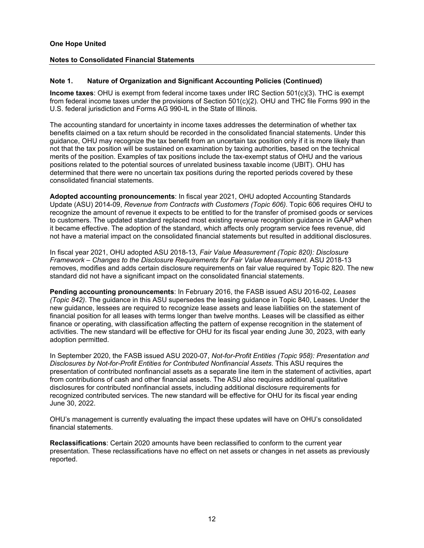### **Notes to Consolidated Financial Statements**

### **Note 1. Nature of Organization and Significant Accounting Policies (Continued)**

**Income taxes**: OHU is exempt from federal income taxes under IRC Section 501(c)(3). THC is exempt from federal income taxes under the provisions of Section 501(c)(2). OHU and THC file Forms 990 in the U.S. federal jurisdiction and Forms AG 990-IL in the State of Illinois.

The accounting standard for uncertainty in income taxes addresses the determination of whether tax benefits claimed on a tax return should be recorded in the consolidated financial statements. Under this guidance, OHU may recognize the tax benefit from an uncertain tax position only if it is more likely than not that the tax position will be sustained on examination by taxing authorities, based on the technical merits of the position. Examples of tax positions include the tax-exempt status of OHU and the various positions related to the potential sources of unrelated business taxable income (UBIT). OHU has determined that there were no uncertain tax positions during the reported periods covered by these consolidated financial statements.

**Adopted accounting pronouncements**: In fiscal year 2021, OHU adopted Accounting Standards Update (ASU) 2014-09, *Revenue from Contracts with Customers (Topic 606)*. Topic 606 requires OHU to recognize the amount of revenue it expects to be entitled to for the transfer of promised goods or services to customers. The updated standard replaced most existing revenue recognition guidance in GAAP when it became effective. The adoption of the standard, which affects only program service fees revenue, did not have a material impact on the consolidated financial statements but resulted in additional disclosures.

In fiscal year 2021, OHU adopted ASU 2018-13, *Fair Value Measurement (Topic 820): Disclosure Framework – Changes to the Disclosure Requirements for Fair Value Measurement*. ASU 2018-13 removes, modifies and adds certain disclosure requirements on fair value required by Topic 820. The new standard did not have a significant impact on the consolidated financial statements.

**Pending accounting pronouncements**: In February 2016, the FASB issued ASU 2016-02, *Leases (Topic 842)*. The guidance in this ASU supersedes the leasing guidance in Topic 840, Leases. Under the new guidance, lessees are required to recognize lease assets and lease liabilities on the statement of financial position for all leases with terms longer than twelve months. Leases will be classified as either finance or operating, with classification affecting the pattern of expense recognition in the statement of activities. The new standard will be effective for OHU for its fiscal year ending June 30, 2023, with early adoption permitted.

In September 2020, the FASB issued ASU 2020-07, *Not-for-Profit Entities (Topic 958): Presentation and Disclosures by Not-for-Profit Entities for Contributed Nonfinancial Assets*. This ASU requires the presentation of contributed nonfinancial assets as a separate line item in the statement of activities, apart from contributions of cash and other financial assets. The ASU also requires additional qualitative disclosures for contributed nonfinancial assets, including additional disclosure requirements for recognized contributed services. The new standard will be effective for OHU for its fiscal year ending June 30, 2022.

OHU's management is currently evaluating the impact these updates will have on OHU's consolidated financial statements.

**Reclassifications**: Certain 2020 amounts have been reclassified to conform to the current year presentation. These reclassifications have no effect on net assets or changes in net assets as previously reported.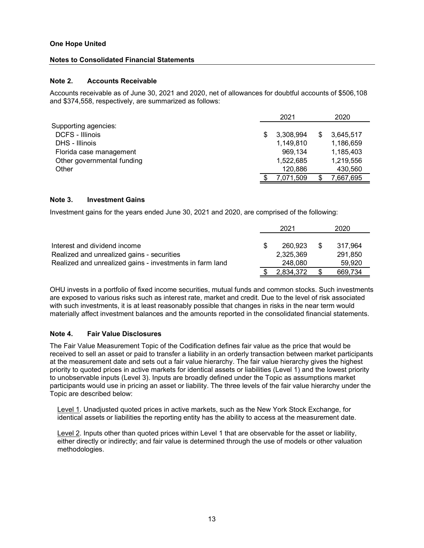### **Notes to Consolidated Financial Statements**

### **Note 2. Accounts Receivable**

Accounts receivable as of June 30, 2021 and 2020, net of allowances for doubtful accounts of \$506,108 and \$374,558, respectively, are summarized as follows:

|                            |   | 2021      | 2020      |
|----------------------------|---|-----------|-----------|
| Supporting agencies:       |   |           |           |
| <b>DCFS - Illinois</b>     | S | 3,308,994 | 3,645,517 |
| DHS - Illinois             |   | 1,149,810 | 1,186,659 |
| Florida case management    |   | 969.134   | 1,185,403 |
| Other governmental funding |   | 1,522,685 | 1,219,556 |
| Other                      |   | 120,886   | 430,560   |
|                            |   | 7.071.509 | 7,667,695 |

### **Note 3. Investment Gains**

Investment gains for the years ended June 30, 2021 and 2020, are comprised of the following:

|                                                          | 2021 |           |   | 2020    |  |  |
|----------------------------------------------------------|------|-----------|---|---------|--|--|
| Interest and dividend income                             |      | 260.923   | S | 317.964 |  |  |
| Realized and unrealized gains - securities               |      | 2,325,369 |   | 291,850 |  |  |
| Realized and unrealized gains - investments in farm land |      | 248.080   |   | 59.920  |  |  |
|                                                          |      | 2,834,372 |   | 669.734 |  |  |

OHU invests in a portfolio of fixed income securities, mutual funds and common stocks. Such investments are exposed to various risks such as interest rate, market and credit. Due to the level of risk associated with such investments, it is at least reasonably possible that changes in risks in the near term would materially affect investment balances and the amounts reported in the consolidated financial statements.

### **Note 4. Fair Value Disclosures**

The Fair Value Measurement Topic of the Codification defines fair value as the price that would be received to sell an asset or paid to transfer a liability in an orderly transaction between market participants at the measurement date and sets out a fair value hierarchy. The fair value hierarchy gives the highest priority to quoted prices in active markets for identical assets or liabilities (Level 1) and the lowest priority to unobservable inputs (Level 3). Inputs are broadly defined under the Topic as assumptions market participants would use in pricing an asset or liability. The three levels of the fair value hierarchy under the Topic are described below:

Level 1. Unadjusted quoted prices in active markets, such as the New York Stock Exchange, for identical assets or liabilities the reporting entity has the ability to access at the measurement date.

Level 2. Inputs other than quoted prices within Level 1 that are observable for the asset or liability, either directly or indirectly; and fair value is determined through the use of models or other valuation methodologies.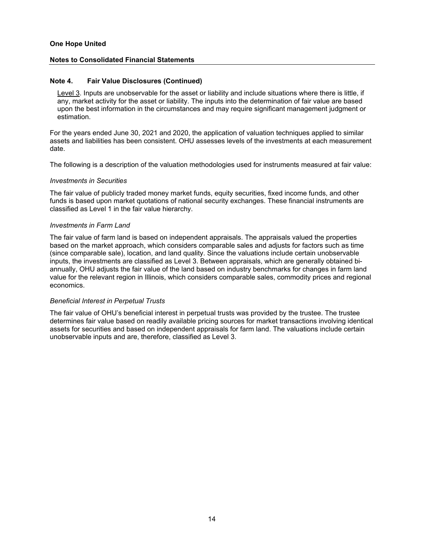### **Notes to Consolidated Financial Statements**

### **Note 4. Fair Value Disclosures (Continued)**

Level 3. Inputs are unobservable for the asset or liability and include situations where there is little, if any, market activity for the asset or liability. The inputs into the determination of fair value are based upon the best information in the circumstances and may require significant management judgment or estimation.

For the years ended June 30, 2021 and 2020, the application of valuation techniques applied to similar assets and liabilities has been consistent. OHU assesses levels of the investments at each measurement date.

The following is a description of the valuation methodologies used for instruments measured at fair value:

#### *Investments in Securities*

The fair value of publicly traded money market funds, equity securities, fixed income funds, and other funds is based upon market quotations of national security exchanges. These financial instruments are classified as Level 1 in the fair value hierarchy.

### *Investments in Farm Land*

The fair value of farm land is based on independent appraisals. The appraisals valued the properties based on the market approach, which considers comparable sales and adjusts for factors such as time (since comparable sale), location, and land quality. Since the valuations include certain unobservable inputs, the investments are classified as Level 3. Between appraisals, which are generally obtained biannually, OHU adjusts the fair value of the land based on industry benchmarks for changes in farm land value for the relevant region in Illinois, which considers comparable sales, commodity prices and regional economics.

### *Beneficial Interest in Perpetual Trusts*

The fair value of OHU's beneficial interest in perpetual trusts was provided by the trustee. The trustee determines fair value based on readily available pricing sources for market transactions involving identical assets for securities and based on independent appraisals for farm land. The valuations include certain unobservable inputs and are, therefore, classified as Level 3.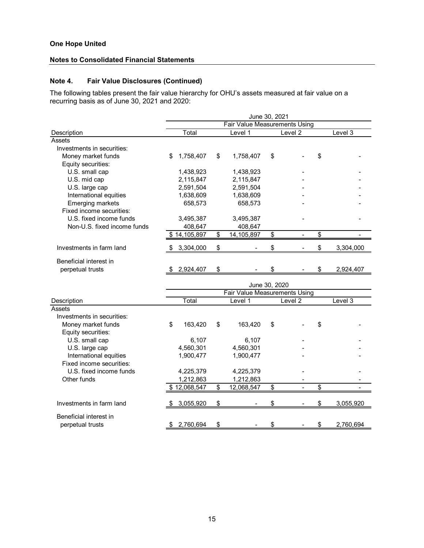### **Notes to Consolidated Financial Statements**

### **Note 4. Fair Value Disclosures (Continued)**

The following tables present the fair value hierarchy for OHU's assets measured at fair value on a recurring basis as of June 30, 2021 and 2020:

|                                            |    | June 30, 2021                        |    |                                      |                         |                    |    |           |  |
|--------------------------------------------|----|--------------------------------------|----|--------------------------------------|-------------------------|--------------------|----|-----------|--|
|                                            |    | <b>Fair Value Measurements Using</b> |    |                                      |                         |                    |    |           |  |
| Description                                |    | Total                                |    | Level 1                              |                         | Level 2            |    | Level 3   |  |
| Assets                                     |    |                                      |    |                                      |                         |                    |    |           |  |
| Investments in securities:                 |    |                                      |    |                                      |                         |                    |    |           |  |
| Money market funds                         | \$ | 1,758,407                            | \$ | 1,758,407                            | \$                      |                    | \$ |           |  |
| Equity securities:                         |    |                                      |    |                                      |                         |                    |    |           |  |
| U.S. small cap                             |    | 1,438,923                            |    | 1,438,923                            |                         |                    |    |           |  |
| U.S. mid cap                               |    | 2,115,847                            |    | 2,115,847                            |                         |                    |    |           |  |
| U.S. large cap                             |    | 2,591,504                            |    | 2,591,504                            |                         |                    |    |           |  |
| International equities                     |    | 1,638,609                            |    | 1,638,609                            |                         |                    |    |           |  |
| <b>Emerging markets</b>                    |    | 658,573                              |    | 658,573                              |                         |                    |    |           |  |
| Fixed income securities:                   |    |                                      |    |                                      |                         |                    |    |           |  |
| U.S. fixed income funds                    |    | 3,495,387                            |    | 3,495,387                            |                         |                    |    |           |  |
| Non-U.S. fixed income funds                |    | 408,647                              |    | 408,647                              |                         |                    |    |           |  |
|                                            |    | \$14,105,897                         | \$ | 14,105,897                           | \$                      |                    | \$ |           |  |
| Investments in farm land                   |    | 3,304,000                            | \$ |                                      | \$                      |                    | \$ | 3,304,000 |  |
| Beneficial interest in                     |    |                                      |    |                                      |                         |                    |    |           |  |
| perpetual trusts                           |    | 2,924,407                            | \$ |                                      | \$                      |                    | \$ | 2,924,407 |  |
|                                            |    |                                      |    |                                      |                         |                    |    |           |  |
|                                            |    |                                      |    |                                      | June 30, 2020           |                    |    |           |  |
|                                            |    |                                      |    | <b>Fair Value Measurements Using</b> |                         |                    |    |           |  |
| Description                                |    | Total                                |    | Level 1                              |                         | Level <sub>2</sub> |    | Level 3   |  |
| Assets                                     |    |                                      |    |                                      |                         |                    |    |           |  |
| Investments in securities:                 |    |                                      |    |                                      |                         |                    |    |           |  |
| Money market funds                         | \$ | 163,420                              | \$ | 163,420                              | \$                      |                    | \$ |           |  |
| Equity securities:                         |    |                                      |    |                                      |                         |                    |    |           |  |
| U.S. small cap                             |    | 6,107                                |    | 6,107                                |                         |                    |    |           |  |
| U.S. large cap                             |    | 4,560,301                            |    | 4,560,301                            |                         |                    |    |           |  |
| International equities                     |    | 1,900,477                            |    | 1,900,477                            |                         |                    |    |           |  |
| Fixed income securities:                   |    |                                      |    |                                      |                         |                    |    |           |  |
| U.S. fixed income funds                    |    | 4,225,379                            |    | 4,225,379                            |                         |                    |    |           |  |
| Other funds                                |    | 1,212,863                            |    | 1,212,863                            |                         |                    |    |           |  |
|                                            |    | \$12,068,547                         | \$ | 12,068,547                           | $\overline{\mathbf{s}}$ |                    | \$ |           |  |
| Investments in farm land                   |    | 3,055,920                            | \$ |                                      | \$                      |                    |    | 3,055,920 |  |
|                                            |    |                                      |    |                                      |                         |                    |    |           |  |
| Beneficial interest in<br>perpetual trusts | S  | 2,760,694                            | \$ |                                      | \$                      |                    | \$ | 2,760,694 |  |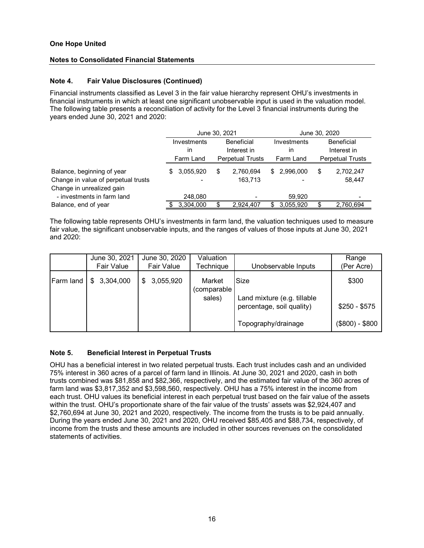### **Notes to Consolidated Financial Statements**

### **Note 4. Fair Value Disclosures (Continued)**

Financial instruments classified as Level 3 in the fair value hierarchy represent OHU's investments in financial instruments in which at least one significant unobservable input is used in the valuation model. The following table presents a reconciliation of activity for the Level 3 financial instruments during the years ended June 30, 2021 and 2020:

|                                     | June 30, 2021 |                   |    |                         |    | June 30, 2020 |             |                         |  |
|-------------------------------------|---------------|-------------------|----|-------------------------|----|---------------|-------------|-------------------------|--|
|                                     | Investments   |                   |    | <b>Beneficial</b>       |    | Investments   |             | <b>Beneficial</b>       |  |
|                                     |               | Interest in<br>in |    | ın                      |    |               | Interest in |                         |  |
|                                     |               | Farm Land         |    | <b>Perpetual Trusts</b> |    | Farm Land     |             | <b>Perpetual Trusts</b> |  |
| Balance, beginning of year          |               | 3,055,920         | \$ | 2.760.694               | \$ | 2.996.000     | \$          | 2,702,247               |  |
| Change in value of perpetual trusts |               |                   |    | 163,713                 |    |               |             | 58.447                  |  |
| Change in unrealized gain           |               |                   |    |                         |    |               |             |                         |  |
| - investments in farm land          |               | 248.080           |    |                         |    | 59.920        |             |                         |  |
| Balance, end of year                |               | 3,304,000         |    | 2,924,407               |    | 3,055,920     |             | 2,760,694               |  |

The following table represents OHU's investments in farm land, the valuation techniques used to measure fair value, the significant unobservable inputs, and the ranges of values of those inputs at June 30, 2021 and 2020:

|                  | June 30, 2021<br><b>Fair Value</b> | June 30, 2020<br>Fair Value | Valuation<br>Technique          | Unobservable Inputs                                                                     | Range<br>(Per Acre)                       |
|------------------|------------------------------------|-----------------------------|---------------------------------|-----------------------------------------------------------------------------------------|-------------------------------------------|
| <b>Farm land</b> | 3,304,000<br>\$                    | 3,055,920<br>\$.            | Market<br>(comparable<br>sales) | Size<br>Land mixture (e.g. tillable<br>percentage, soil quality)<br>Topography/drainage | \$300<br>$$250 - $575$<br>(\$800) - \$800 |

### **Note 5. Beneficial Interest in Perpetual Trusts**

OHU has a beneficial interest in two related perpetual trusts. Each trust includes cash and an undivided 75% interest in 360 acres of a parcel of farm land in Illinois. At June 30, 2021 and 2020, cash in both trusts combined was \$81,858 and \$82,366, respectively, and the estimated fair value of the 360 acres of farm land was \$3,817,352 and \$3,598,560, respectively. OHU has a 75% interest in the income from each trust. OHU values its beneficial interest in each perpetual trust based on the fair value of the assets within the trust. OHU's proportionate share of the fair value of the trusts' assets was \$2,924,407 and \$2,760,694 at June 30, 2021 and 2020, respectively. The income from the trusts is to be paid annually. During the years ended June 30, 2021 and 2020, OHU received \$85,405 and \$88,734, respectively, of income from the trusts and these amounts are included in other sources revenues on the consolidated statements of activities.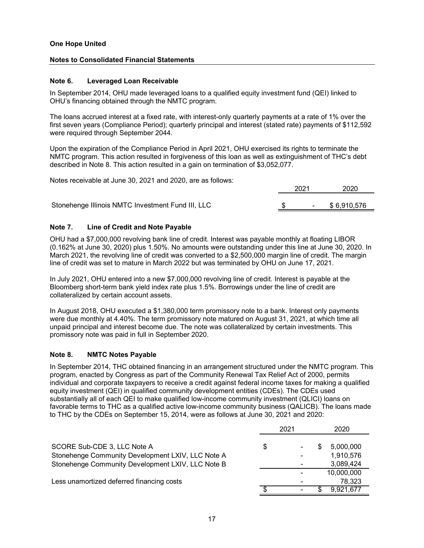### **Notes to Consolidated Financial Statements**

### **Note 6. Leveraged Loan Receivable**

In September 2014, OHU made leveraged loans to a qualified equity investment fund (QEI) linked to OHU's financing obtained through the NMTC program.

The loans accrued interest at a fixed rate, with interest-only quarterly payments at a rate of 1% over the first seven years (Compliance Period); quarterly principal and interest (stated rate) payments of \$112,592 were required through September 2044.

Upon the expiration of the Compliance Period in April 2021, OHU exercised its rights to terminate the NMTC program. This action resulted in forgiveness of this loan as well as extinguishment of THC's debt described in Note 8. This action resulted in a gain on termination of \$3,052,077.

Notes receivable at June 30, 2021 and 2020, are as follows:

|                                                   | ZUZ. | ∠∪∠∪            |  |
|---------------------------------------------------|------|-----------------|--|
| Stonehenge Illinois NMTC Investment Fund III, LLC |      | $-$ \$6,910,576 |  |

2021 2020

### **Note 7. Line of Credit and Note Payable**

OHU had a \$7,000,000 revolving bank line of credit. Interest was payable monthly at floating LIBOR (0.162% at June 30, 2020) plus 1.50%. No amounts were outstanding under this line at June 30, 2020. In March 2021, the revolving line of credit was converted to a \$2,500,000 margin line of credit. The margin line of credit was set to mature in March 2022 but was terminated by OHU on June 17, 2021.

In July 2021, OHU entered into a new \$7,000,000 revolving line of credit. Interest is payable at the Bloomberg short-term bank yield index rate plus 1.5%. Borrowings under the line of credit are collateralized by certain account assets.

In August 2018, OHU executed a \$1,380,000 term promissory note to a bank. Interest only payments were due monthly at 4.40%. The term promissory note matured on August 31, 2021, at which time all unpaid principal and interest become due. The note was collateralized by certain investments. This promissory note was paid in full in September 2020.

### **Note 8. NMTC Notes Payable**

In September 2014, THC obtained financing in an arrangement structured under the NMTC program. This program, enacted by Congress as part of the Community Renewal Tax Relief Act of 2000, permits individual and corporate taxpayers to receive a credit against federal income taxes for making a qualified equity investment (QEI) in qualified community development entities (CDEs). The CDEs used substantially all of each QEI to make qualified low-income community investment (QLICI) loans on favorable terms to THC as a qualified active low-income community business (QALICB). The loans made to THC by the CDEs on September 15, 2014, were as follows at June 30, 2021 and 2020:

|                                                   | 2021                     | 2020 |            |
|---------------------------------------------------|--------------------------|------|------------|
| SCORE Sub-CDE 3, LLC Note A                       | \$<br>$\blacksquare$     |      | 5,000,000  |
| Stonehenge Community Development LXIV, LLC Note A | $\overline{\phantom{a}}$ |      | 1,910,576  |
| Stonehenge Community Development LXIV, LLC Note B |                          |      | 3,089,424  |
|                                                   |                          |      | 10,000,000 |
| Less unamortized deferred financing costs         |                          |      | 78,323     |
|                                                   | \$                       |      | 9,921,677  |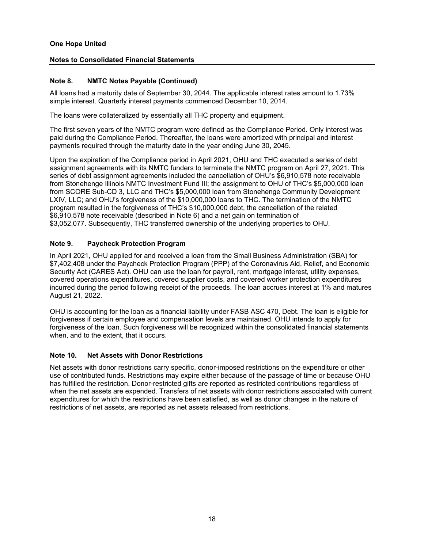### **Notes to Consolidated Financial Statements**

### **Note 8. NMTC Notes Payable (Continued)**

All loans had a maturity date of September 30, 2044. The applicable interest rates amount to 1.73% simple interest. Quarterly interest payments commenced December 10, 2014.

The loans were collateralized by essentially all THC property and equipment.

The first seven years of the NMTC program were defined as the Compliance Period. Only interest was paid during the Compliance Period. Thereafter, the loans were amortized with principal and interest payments required through the maturity date in the year ending June 30, 2045.

Upon the expiration of the Compliance period in April 2021, OHU and THC executed a series of debt assignment agreements with its NMTC funders to terminate the NMTC program on April 27, 2021. This series of debt assignment agreements included the cancellation of OHU's \$6,910,578 note receivable from Stonehenge Illinois NMTC Investment Fund III; the assignment to OHU of THC's \$5,000,000 loan from SCORE Sub-CD 3, LLC and THC's \$5,000,000 loan from Stonehenge Community Development LXIV, LLC; and OHU's forgiveness of the \$10,000,000 loans to THC. The termination of the NMTC program resulted in the forgiveness of THC's \$10,000,000 debt, the cancellation of the related \$6,910,578 note receivable (described in Note 6) and a net gain on termination of \$3,052,077. Subsequently, THC transferred ownership of the underlying properties to OHU.

### **Note 9. Paycheck Protection Program**

In April 2021, OHU applied for and received a loan from the Small Business Administration (SBA) for \$7,402,408 under the Paycheck Protection Program (PPP) of the Coronavirus Aid, Relief, and Economic Security Act (CARES Act). OHU can use the loan for payroll, rent, mortgage interest, utility expenses, covered operations expenditures, covered supplier costs, and covered worker protection expenditures incurred during the period following receipt of the proceeds. The loan accrues interest at 1% and matures August 21, 2022.

OHU is accounting for the loan as a financial liability under FASB ASC 470, Debt. The loan is eligible for forgiveness if certain employee and compensation levels are maintained. OHU intends to apply for forgiveness of the loan. Such forgiveness will be recognized within the consolidated financial statements when, and to the extent, that it occurs.

### **Note 10. Net Assets with Donor Restrictions**

Net assets with donor restrictions carry specific, donor-imposed restrictions on the expenditure or other use of contributed funds. Restrictions may expire either because of the passage of time or because OHU has fulfilled the restriction. Donor-restricted gifts are reported as restricted contributions regardless of when the net assets are expended. Transfers of net assets with donor restrictions associated with current expenditures for which the restrictions have been satisfied, as well as donor changes in the nature of restrictions of net assets, are reported as net assets released from restrictions.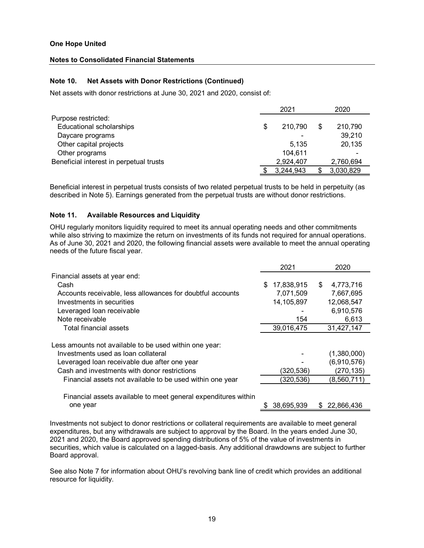### **Notes to Consolidated Financial Statements**

### **Note 10. Net Assets with Donor Restrictions (Continued)**

Net assets with donor restrictions at June 30, 2021 and 2020, consist of:

|                                         | 2021          | 2020          |
|-----------------------------------------|---------------|---------------|
| Purpose restricted:                     |               |               |
| Educational scholarships                | \$<br>210.790 | \$<br>210,790 |
| Daycare programs                        |               | 39,210        |
| Other capital projects                  | 5.135         | 20,135        |
| Other programs                          | 104,611       |               |
| Beneficial interest in perpetual trusts | 2,924,407     | 2,760,694     |
|                                         | 3,244,943     | 3,030,829     |

Beneficial interest in perpetual trusts consists of two related perpetual trusts to be held in perpetuity (as described in Note 5). Earnings generated from the perpetual trusts are without donor restrictions.

### **Note 11. Available Resources and Liquidity**

OHU regularly monitors liquidity required to meet its annual operating needs and other commitments while also striving to maximize the return on investments of its funds not required for annual operations. As of June 30, 2021 and 2020, the following financial assets were available to meet the annual operating needs of the future fiscal year.

|                                                                | 2021             |    | 2020        |
|----------------------------------------------------------------|------------------|----|-------------|
| Financial assets at year end:                                  |                  |    |             |
| Cash                                                           | \$<br>17,838,915 | \$ | 4,773,716   |
| Accounts receivable, less allowances for doubtful accounts     | 7,071,509        |    | 7,667,695   |
| Investments in securities                                      | 14,105,897       |    | 12,068,547  |
| Leveraged loan receivable                                      |                  |    | 6,910,576   |
| Note receivable                                                | 154              |    | 6,613       |
| Total financial assets                                         | 39,016,475       |    | 31,427,147  |
|                                                                |                  |    |             |
| Less amounts not available to be used within one year:         |                  |    |             |
| Investments used as loan collateral                            |                  |    | (1,380,000) |
| Leveraged loan receivable due after one year                   |                  |    | (6,910,576) |
| Cash and investments with donor restrictions                   | (320,536)        |    | (270, 135)  |
| Financial assets not available to be used within one year      | (320,536)        |    | (8,560,711) |
|                                                                |                  |    |             |
| Financial assets available to meet general expenditures within |                  |    |             |
| one year                                                       | 38,695,939       | S  | 22,866,436  |

Investments not subject to donor restrictions or collateral requirements are available to meet general expenditures, but any withdrawals are subject to approval by the Board. In the years ended June 30, 2021 and 2020, the Board approved spending distributions of 5% of the value of investments in securities, which value is calculated on a lagged-basis. Any additional drawdowns are subject to further Board approval.

See also Note 7 for information about OHU's revolving bank line of credit which provides an additional resource for liquidity.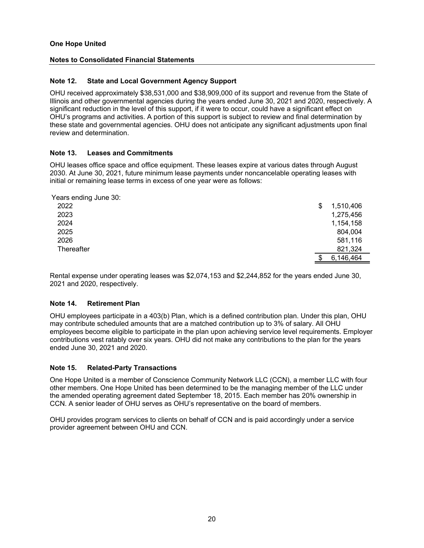### **Notes to Consolidated Financial Statements**

### **Note 12. State and Local Government Agency Support**

OHU received approximately \$38,531,000 and \$38,909,000 of its support and revenue from the State of Illinois and other governmental agencies during the years ended June 30, 2021 and 2020, respectively. A significant reduction in the level of this support, if it were to occur, could have a significant effect on OHU's programs and activities. A portion of this support is subject to review and final determination by these state and governmental agencies. OHU does not anticipate any significant adjustments upon final review and determination.

### **Note 13. Leases and Commitments**

OHU leases office space and office equipment. These leases expire at various dates through August 2030. At June 30, 2021, future minimum lease payments under noncancelable operating leases with initial or remaining lease terms in excess of one year were as follows:

Years ending June 30:

| 2022       | \$ | 1,510,406 |
|------------|----|-----------|
| 2023       |    | 1,275,456 |
| 2024       |    | 1,154,158 |
| 2025       |    | 804,004   |
| 2026       |    | 581,116   |
| Thereafter |    | 821,324   |
|            | S  | 6,146,464 |

Rental expense under operating leases was \$2,074,153 and \$2,244,852 for the years ended June 30, 2021 and 2020, respectively.

### **Note 14. Retirement Plan**

OHU employees participate in a 403(b) Plan, which is a defined contribution plan. Under this plan, OHU may contribute scheduled amounts that are a matched contribution up to 3% of salary. All OHU employees become eligible to participate in the plan upon achieving service level requirements. Employer contributions vest ratably over six years. OHU did not make any contributions to the plan for the years ended June 30, 2021 and 2020.

### **Note 15. Related-Party Transactions**

One Hope United is a member of Conscience Community Network LLC (CCN), a member LLC with four other members. One Hope United has been determined to be the managing member of the LLC under the amended operating agreement dated September 18, 2015. Each member has 20% ownership in CCN. A senior leader of OHU serves as OHU's representative on the board of members.

OHU provides program services to clients on behalf of CCN and is paid accordingly under a service provider agreement between OHU and CCN.